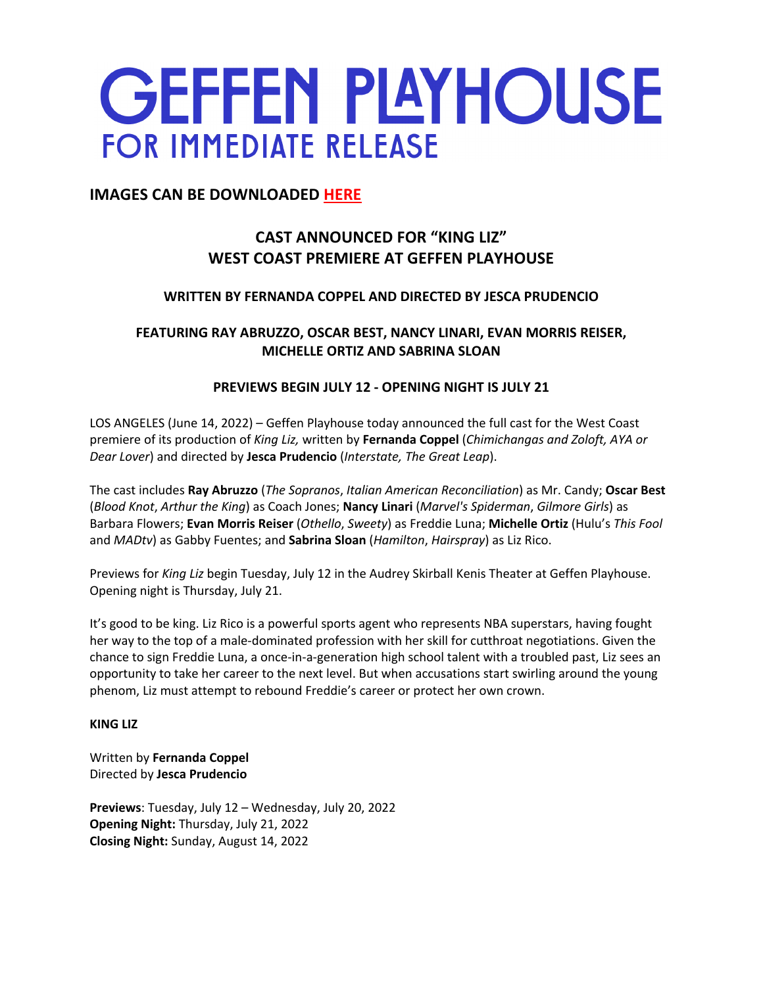# **GEFFEN PLAYHOUSE FOR IMMEDIATE RELEASE**

# **IMAGES CAN BE DOWNLOADED HERE**

# **CAST ANNOUNCED FOR "KING LIZ" WEST COAST PREMIERE AT GEFFEN PLAYHOUSE**

# **WRITTEN BY FERNANDA COPPEL AND DIRECTED BY JESCA PRUDENCIO**

# **FEATURING RAY ABRUZZO, OSCAR BEST, NANCY LINARI, EVAN MORRIS REISER, MICHELLE ORTIZ AND SABRINA SLOAN**

# **PREVIEWS BEGIN JULY 12 - OPENING NIGHT IS JULY 21**

LOS ANGELES (June 14, 2022) – Geffen Playhouse today announced the full cast for the West Coast premiere of its production of *King Liz,* written by **Fernanda Coppel** (*Chimichangas and Zoloft, AYA or Dear Lover*) and directed by **Jesca Prudencio** (*Interstate, The Great Leap*).

The cast includes **Ray Abruzzo** (*The Sopranos*, *Italian American Reconciliation*) as Mr. Candy; **Oscar Best**  (*Blood Knot*, *Arthur the King*) as Coach Jones; **Nancy Linari** (*Marvel's Spiderman*, *Gilmore Girls*) as Barbara Flowers; **Evan Morris Reiser** (*Othello*, *Sweety*) as Freddie Luna; **Michelle Ortiz** (Hulu's *This Fool* and *MADtv*) as Gabby Fuentes; and **Sabrina Sloan** (*Hamilton*, *Hairspray*) as Liz Rico.

Previews for *King Liz* begin Tuesday, July 12 in the Audrey Skirball Kenis Theater at Geffen Playhouse. Opening night is Thursday, July 21.

It's good to be king. Liz Rico is a powerful sports agent who represents NBA superstars, having fought her way to the top of a male-dominated profession with her skill for cutthroat negotiations. Given the chance to sign Freddie Luna, a once-in-a-generation high school talent with a troubled past, Liz sees an opportunity to take her career to the next level. But when accusations start swirling around the young phenom, Liz must attempt to rebound Freddie's career or protect her own crown.

# **KING LIZ**

Written by **Fernanda Coppel** Directed by **Jesca Prudencio**

**Previews**: Tuesday, July 12 – Wednesday, July 20, 2022 **Opening Night:** Thursday, July 21, 2022 **Closing Night:** Sunday, August 14, 2022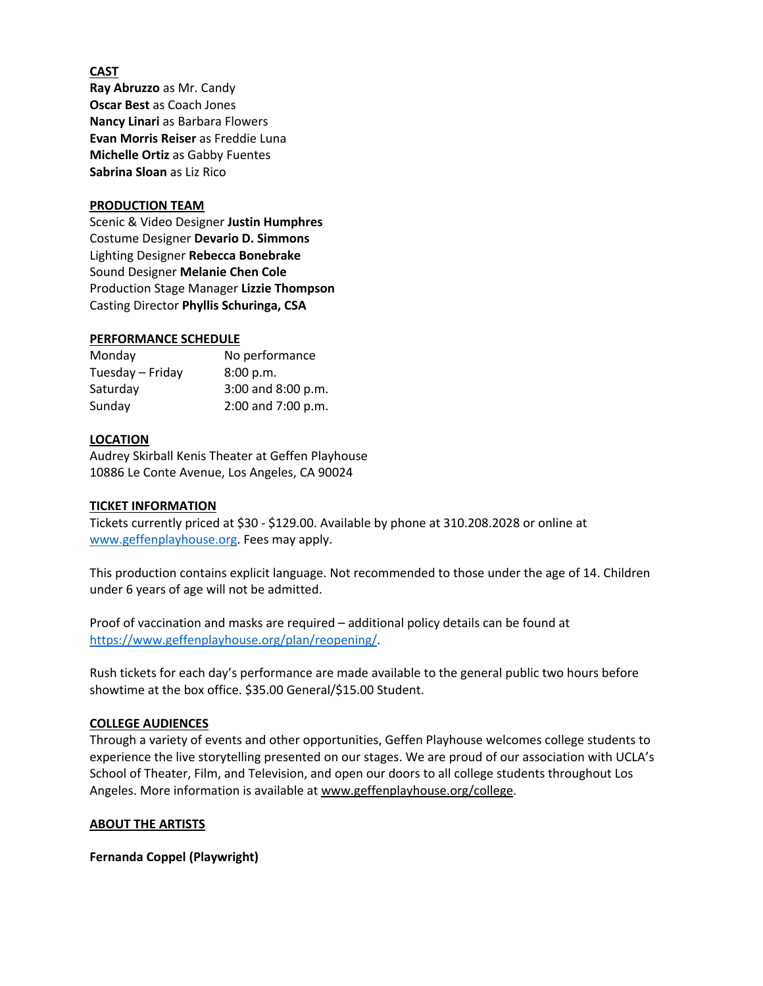# **CAST**

**Ray Abruzzo** as Mr. Candy **Oscar Best** as Coach Jones **Nancy Linari** as Barbara Flowers **Evan Morris Reiser** as Freddie Luna **Michelle Ortiz** as Gabby Fuentes **Sabrina Sloan** as Liz Rico

# **PRODUCTION TEAM**

Scenic & Video Designer **Justin Humphres** Costume Designer **Devario D. Simmons** Lighting Designer **Rebecca Bonebrake** Sound Designer **Melanie Chen Cole** Production Stage Manager **Lizzie Thompson** Casting Director **Phyllis Schuringa, CSA**

#### **PERFORMANCE SCHEDULE**

| Monday           | No performance     |
|------------------|--------------------|
| Tuesday – Friday | 8:00 p.m.          |
| Saturday         | 3:00 and 8:00 p.m. |
| Sunday           | 2:00 and 7:00 p.m. |

## **LOCATION**

Audrey Skirball Kenis Theater at Geffen Playhouse 10886 Le Conte Avenue, Los Angeles, CA 90024

## **TICKET INFORMATION**

Tickets currently priced at \$30 - \$129.00. Available by phone at 310.208.2028 or online at www.geffenplayhouse.org. Fees may apply.

This production contains explicit language. Not recommended to those under the age of 14. Children under 6 years of age will not be admitted.

Proof of vaccination and masks are required – additional policy details can be found at https://www.geffenplayhouse.org/plan/reopening/.

Rush tickets for each day's performance are made available to the general public two hours before showtime at the box office. \$35.00 General/\$15.00 Student.

# **COLLEGE AUDIENCES**

Through a variety of events and other opportunities, Geffen Playhouse welcomes college students to experience the live storytelling presented on our stages. We are proud of our association with UCLA's School of Theater, Film, and Television, and open our doors to all college students throughout Los Angeles. More information is available at www.geffenplayhouse.org/college.

#### **ABOUT THE ARTISTS**

**Fernanda Coppel (Playwright)**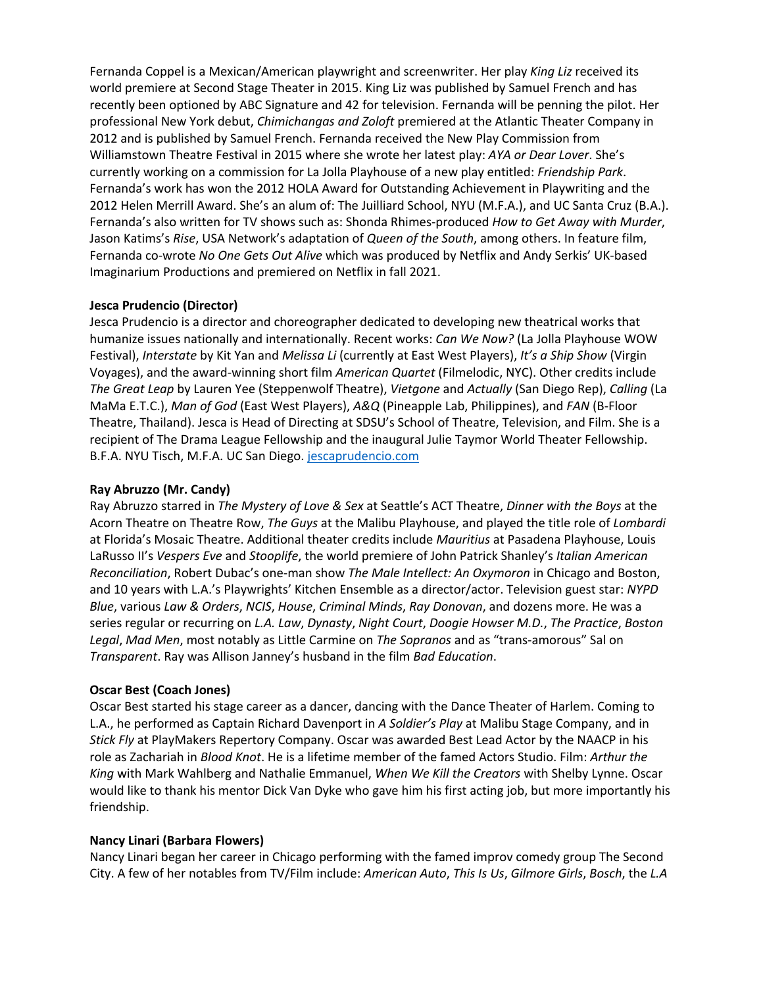Fernanda Coppel is a Mexican/American playwright and screenwriter. Her play *King Liz* received its world premiere at Second Stage Theater in 2015. King Liz was published by Samuel French and has recently been optioned by ABC Signature and 42 for television. Fernanda will be penning the pilot. Her professional New York debut, *Chimichangas and Zoloft* premiered at the Atlantic Theater Company in 2012 and is published by Samuel French. Fernanda received the New Play Commission from Williamstown Theatre Festival in 2015 where she wrote her latest play: *AYA or Dear Lover*. She's currently working on a commission for La Jolla Playhouse of a new play entitled: *Friendship Park*. Fernanda's work has won the 2012 HOLA Award for Outstanding Achievement in Playwriting and the 2012 Helen Merrill Award. She's an alum of: The Juilliard School, NYU (M.F.A.), and UC Santa Cruz (B.A.). Fernanda's also written for TV shows such as: Shonda Rhimes-produced *How to Get Away with Murder*, Jason Katims's *Rise*, USA Network's adaptation of *Queen of the South*, among others. In feature film, Fernanda co-wrote *No One Gets Out Alive* which was produced by Netflix and Andy Serkis' UK-based Imaginarium Productions and premiered on Netflix in fall 2021.

# **Jesca Prudencio (Director)**

Jesca Prudencio is a director and choreographer dedicated to developing new theatrical works that humanize issues nationally and internationally. Recent works: *Can We Now?* (La Jolla Playhouse WOW Festival), *Interstate* by Kit Yan and *Melissa Li* (currently at East West Players), *It's a Ship Show* (Virgin Voyages), and the award-winning short film *American Quartet* (Filmelodic, NYC). Other credits include *The Great Leap* by Lauren Yee (Steppenwolf Theatre), *Vietgone* and *Actually* (San Diego Rep), *Calling* (La MaMa E.T.C.), *Man of God* (East West Players), *A&Q* (Pineapple Lab, Philippines), and *FAN* (B-Floor Theatre, Thailand). Jesca is Head of Directing at SDSU's School of Theatre, Television, and Film. She is a recipient of The Drama League Fellowship and the inaugural Julie Taymor World Theater Fellowship. B.F.A. NYU Tisch, M.F.A. UC San Diego. jescaprudencio.com

# **Ray Abruzzo (Mr. Candy)**

Ray Abruzzo starred in *The Mystery of Love & Sex* at Seattle's ACT Theatre, *Dinner with the Boys* at the Acorn Theatre on Theatre Row, *The Guys* at the Malibu Playhouse, and played the title role of *Lombardi* at Florida's Mosaic Theatre. Additional theater credits include *Mauritius* at Pasadena Playhouse, Louis LaRusso II's *Vespers Eve* and *Stooplife*, the world premiere of John Patrick Shanley's *Italian American Reconciliation*, Robert Dubac's one-man show *The Male Intellect: An Oxymoron* in Chicago and Boston, and 10 years with L.A.'s Playwrights' Kitchen Ensemble as a director/actor. Television guest star: *NYPD Blue*, various *Law & Orders*, *NCIS*, *House*, *Criminal Minds*, *Ray Donovan*, and dozens more. He was a series regular or recurring on *L.A. Law*, *Dynasty*, *Night Court*, *Doogie Howser M.D.*, *The Practice*, *Boston Legal*, *Mad Men*, most notably as Little Carmine on *The Sopranos* and as "trans-amorous" Sal on *Transparent*. Ray was Allison Janney's husband in the film *Bad Education*.

# **Oscar Best (Coach Jones)**

Oscar Best started his stage career as a dancer, dancing with the Dance Theater of Harlem. Coming to L.A., he performed as Captain Richard Davenport in *A Soldier's Play* at Malibu Stage Company, and in *Stick Fly* at PlayMakers Repertory Company. Oscar was awarded Best Lead Actor by the NAACP in his role as Zachariah in *Blood Knot*. He is a lifetime member of the famed Actors Studio. Film: *Arthur the King* with Mark Wahlberg and Nathalie Emmanuel, *When We Kill the Creators* with Shelby Lynne. Oscar would like to thank his mentor Dick Van Dyke who gave him his first acting job, but more importantly his friendship.

# **Nancy Linari (Barbara Flowers)**

Nancy Linari began her career in Chicago performing with the famed improv comedy group The Second City. A few of her notables from TV/Film include: *American Auto*, *This Is Us*, *Gilmore Girls*, *Bosch*, the *L.A*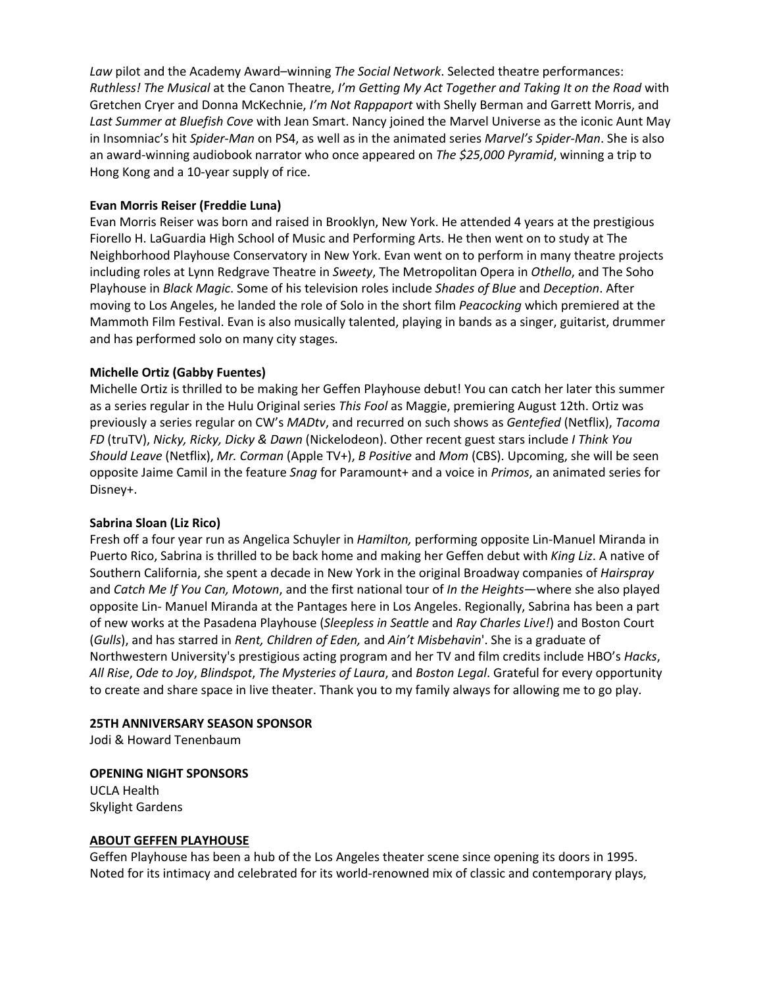*Law* pilot and the Academy Award–winning *The Social Network*. Selected theatre performances: *Ruthless! The Musical* at the Canon Theatre, *I'm Getting My Act Together and Taking It on the Road* with Gretchen Cryer and Donna McKechnie, *I'm Not Rappaport* with Shelly Berman and Garrett Morris, and *Last Summer at Bluefish Cove* with Jean Smart. Nancy joined the Marvel Universe as the iconic Aunt May in Insomniac's hit *Spider-Man* on PS4, as well as in the animated series *Marvel's Spider-Man*. She is also an award-winning audiobook narrator who once appeared on *The \$25,000 Pyramid*, winning a trip to Hong Kong and a 10-year supply of rice.

# **Evan Morris Reiser (Freddie Luna)**

Evan Morris Reiser was born and raised in Brooklyn, New York. He attended 4 years at the prestigious Fiorello H. LaGuardia High School of Music and Performing Arts. He then went on to study at The Neighborhood Playhouse Conservatory in New York. Evan went on to perform in many theatre projects including roles at Lynn Redgrave Theatre in *Sweety*, The Metropolitan Opera in *Othello*, and The Soho Playhouse in *Black Magic*. Some of his television roles include *Shades of Blue* and *Deception*. After moving to Los Angeles, he landed the role of Solo in the short film *Peacocking* which premiered at the Mammoth Film Festival. Evan is also musically talented, playing in bands as a singer, guitarist, drummer and has performed solo on many city stages.

# **Michelle Ortiz (Gabby Fuentes)**

Michelle Ortiz is thrilled to be making her Geffen Playhouse debut! You can catch her later this summer as a series regular in the Hulu Original series *This Fool* as Maggie, premiering August 12th. Ortiz was previously a series regular on CW's *MADtv*, and recurred on such shows as *Gentefied* (Netflix), *Tacoma FD* (truTV), *Nicky, Ricky, Dicky & Dawn* (Nickelodeon). Other recent guest stars include *I Think You Should Leave* (Netflix), *Mr. Corman* (Apple TV+), *B Positive* and *Mom* (CBS). Upcoming, she will be seen opposite Jaime Camil in the feature *Snag* for Paramount+ and a voice in *Primos*, an animated series for Disney+.

## **Sabrina Sloan (Liz Rico)**

Fresh off a four year run as Angelica Schuyler in *Hamilton,* performing opposite Lin-Manuel Miranda in Puerto Rico, Sabrina is thrilled to be back home and making her Geffen debut with *King Liz*. A native of Southern California, she spent a decade in New York in the original Broadway companies of *Hairspray* and *Catch Me If You Can, Motown*, and the first national tour of *In the Heights*—where she also played opposite Lin- Manuel Miranda at the Pantages here in Los Angeles. Regionally, Sabrina has been a part of new works at the Pasadena Playhouse (*Sleepless in Seattle* and *Ray Charles Live!*) and Boston Court (*Gulls*), and has starred in *Rent, Children of Eden,* and *Ain't Misbehavin*'. She is a graduate of Northwestern University's prestigious acting program and her TV and film credits include HBO's *Hacks*, *All Rise*, *Ode to Joy*, *Blindspot*, *The Mysteries of Laura*, and *Boston Legal*. Grateful for every opportunity to create and share space in live theater. Thank you to my family always for allowing me to go play.

## **25TH ANNIVERSARY SEASON SPONSOR**

Jodi & Howard Tenenbaum

## **OPENING NIGHT SPONSORS**

UCLA Health Skylight Gardens

## **ABOUT GEFFEN PLAYHOUSE**

Geffen Playhouse has been a hub of the Los Angeles theater scene since opening its doors in 1995. Noted for its intimacy and celebrated for its world-renowned mix of classic and contemporary plays,